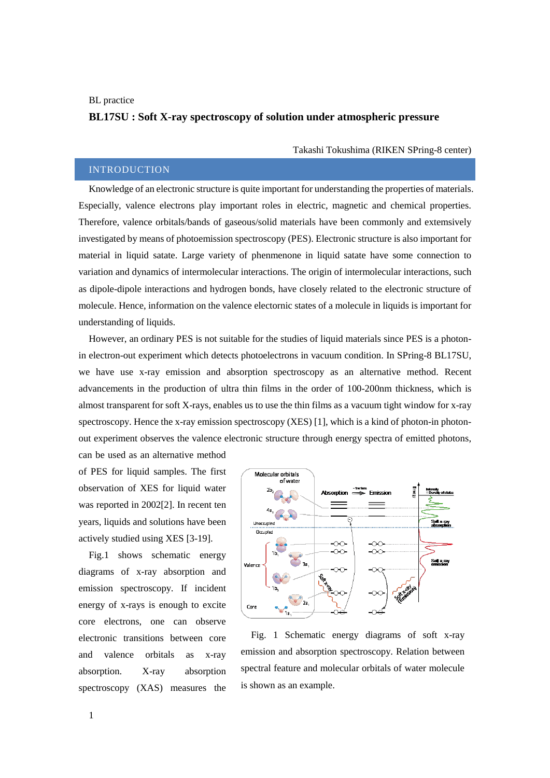#### BL practice

# **BL17SU : Soft X-ray spectroscopy of solution under atmospheric pressure**

Takashi Tokushima (RIKEN SPring-8 center)

# INTRODUCTION

Knowledge of an electronic structure is quite important for understanding the properties of materials. Especially, valence electrons play important roles in electric, magnetic and chemical properties. Therefore, valence orbitals/bands of gaseous/solid materials have been commonly and extemsively investigated by means of photoemission spectroscopy (PES). Electronic structure is also important for material in liquid satate. Large variety of phenmenone in liquid satate have some connection to variation and dynamics of intermolecular interactions. The origin of intermolecular interactions, such as dipole-dipole interactions and hydrogen bonds, have closely related to the electronic structure of molecule. Hence, information on the valence electornic states of a molecule in liquids is important for understanding of liquids.

However, an ordinary PES is not suitable for the studies of liquid materials since PES is a photonin electron-out experiment which detects photoelectrons in vacuum condition. In SPring-8 BL17SU, we have use x-ray emission and absorption spectroscopy as an alternative method. Recent advancements in the production of ultra thin films in the order of 100-200nm thickness, which is almost transparent for soft X-rays, enables us to use the thin films as a vacuum tight window for x-ray spectroscopy. Hence the x-ray emission spectroscopy (XES) [1], which is a kind of photon-in photonout experiment observes the valence electronic structure through energy spectra of emitted photons,

can be used as an alternative method of PES for liquid samples. The first observation of XES for liquid water was reported in 2002[2]. In recent ten years, liquids and solutions have been actively studied using XES [3-19].

Fig.1 shows schematic energy diagrams of x-ray absorption and emission spectroscopy. If incident energy of x-rays is enough to excite core electrons, one can observe electronic transitions between core and valence orbitals as x-ray absorption. X-ray absorption spectroscopy (XAS) measures the



Fig. 1 Schematic energy diagrams of soft x-ray emission and absorption spectroscopy. Relation between spectral feature and molecular orbitals of water molecule is shown as an example.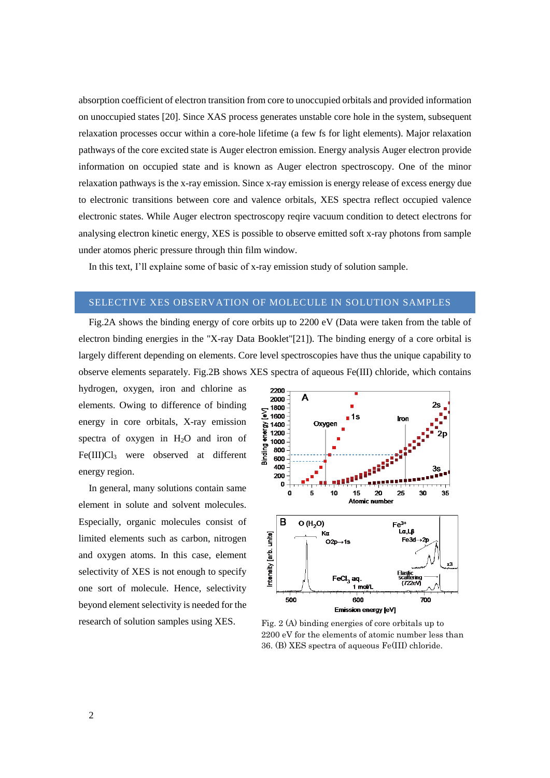absorption coefficient of electron transition from core to unoccupied orbitals and provided information on unoccupied states [20]. Since XAS process generates unstable core hole in the system, subsequent relaxation processes occur within a core-hole lifetime (a few fs for light elements). Major relaxation pathways of the core excited state is Auger electron emission. Energy analysis Auger electron provide information on occupied state and is known as Auger electron spectroscopy. One of the minor relaxation pathways is the x-ray emission. Since x-ray emission is energy release of excess energy due to electronic transitions between core and valence orbitals, XES spectra reflect occupied valence electronic states. While Auger electron spectroscopy reqire vacuum condition to detect electrons for analysing electron kinetic energy, XES is possible to observe emitted soft x-ray photons from sample under atomos pheric pressure through thin film window.

In this text, I'll explaine some of basic of x-ray emission study of solution sample.

## SELECTIVE XES OBSERVATION OF MOLECULE IN SOLUTION SAMPLES

Fig.2A shows the binding energy of core orbits up to 2200 eV (Data were taken from the table of electron binding energies in the "X-ray Data Booklet"[21]). The binding energy of a core orbital is largely different depending on elements. Core level spectroscopies have thus the unique capability to observe elements separately. Fig.2B shows XES spectra of aqueous Fe(III) chloride, which contains

hydrogen, oxygen, iron and chlorine as elements. Owing to difference of binding energy in core orbitals, X-ray emission spectra of oxygen in H2O and iron of Fe(III)Cl<sub>3</sub> were observed at different energy region.

In general, many solutions contain same element in solute and solvent molecules. Especially, organic molecules consist of limited elements such as carbon, nitrogen and oxygen atoms. In this case, element selectivity of XES is not enough to specify [one sort](http://ejje.weblio.jp/content/one+sort) of molecule. Hence, selectivity beyond element selectivity is needed for the research of solution samples using XES.  $Fig. 2 (A)$  binding energies of core orbitals up to



2200 eV for the elements of atomic number less than 36. (B) XES spectra of aqueous Fe(III) chloride.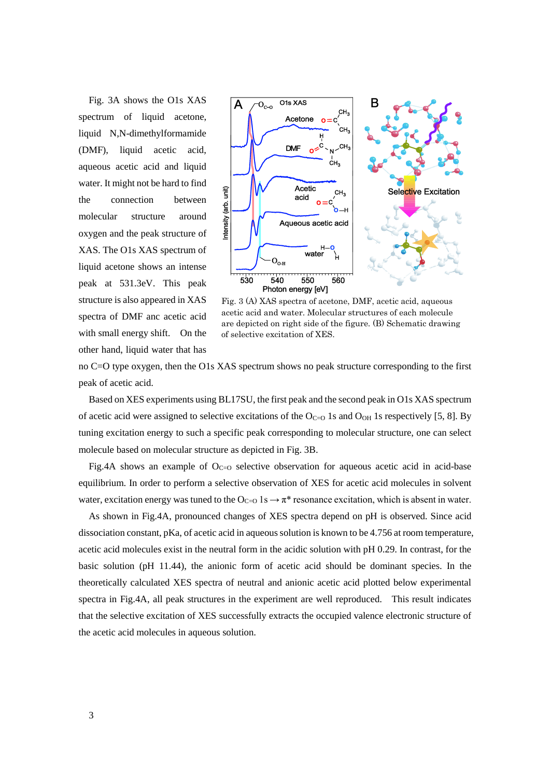Fig. 3A shows the O1s XAS spectrum of liquid acetone, liquid N,N-dimethylformamide (DMF), liquid acetic acid, aqueous acetic acid and liquid water. It might not be hard to find the connection between molecular structure around oxygen and the peak structure of XAS. The O1s XAS spectrum of liquid acetone shows an intense peak at 531.3eV. This peak structure is also appeared in XAS spectra of DMF anc acetic acid with small energy shift. On the other hand, liquid water that has



Fig. 3 (A) XAS spectra of acetone, DMF, acetic acid, aqueous acetic acid and water. Molecular structures of each molecule are depicted on right side of the figure. (B) Schematic drawing of selective excitation of XES.

no C=O type oxygen, then the O1s XAS spectrum shows no peak structure corresponding to the first peak of acetic acid.

Based on XES experiments using BL17SU, the first peak and the second peak in O1s XAS spectrum of acetic acid were assigned to selective excitations of the  $O<sub>C=O</sub> 1s$  and  $O<sub>OH</sub> 1s$  respectively [5, 8]. By tuning excitation energy to such a specific peak corresponding to molecular structure, one can select molecule based on molecular structure as depicted in Fig. 3B.

Fig.4A shows an example of  $O<sub>C=0</sub>$  selective observation for aqueous acetic acid in acid-base equilibrium. In order to perform a selective observation of XES for acetic acid molecules in solvent water, excitation energy was tuned to the  $O_{C=O}$  1s  $\rightarrow \pi^*$  resonance excitation, which is absent in water.

As shown in Fig.4A, pronounced changes of XES spectra depend on pH is observed. Since acid dissociation constant, pKa, of acetic acid in aqueous solution is known to be 4.756 at room temperature, acetic acid molecules exist in the neutral form in the acidic solution with pH 0.29. In contrast, for the basic solution (pH 11.44), the anionic form of acetic acid should be dominant species. In the theoretically calculated XES spectra of neutral and anionic acetic acid plotted below experimental spectra in Fig.4A, all peak structures in the experiment are well reproduced. This result indicates that the selective excitation of XES successfully extracts the occupied valence electronic structure of the acetic acid molecules in aqueous solution.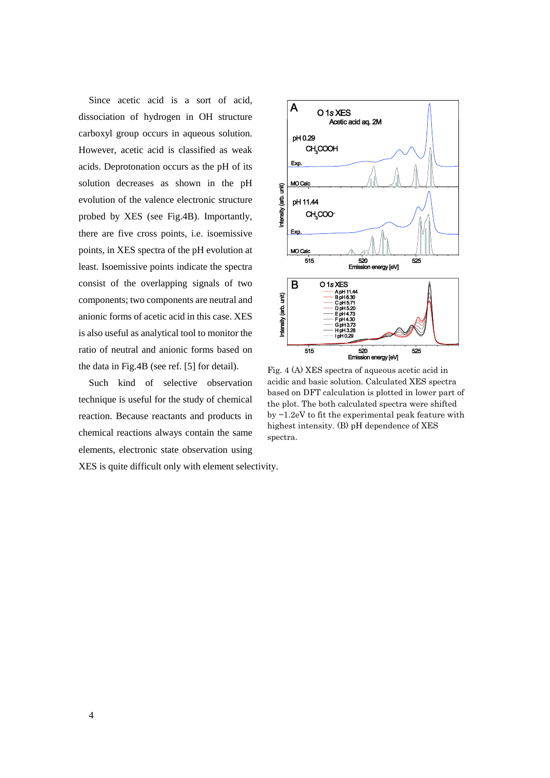Since acetic acid is a sort of acid, dissociation of hydrogen in OH structure carboxyl group occurs in aqueous solution. However, acetic acid is classified as weak acids. Deprotonation occurs as the pH of its solution decreases as shown in the pH evolution of the valence electronic structure probed by XES (see Fig.4B). Importantly, there are five cross points, i.e. isoemissive points, in XES spectra of the pH evolution at least. Isoemissive points indicate the spectra consist of the overlapping signals of two components; two components are neutral and anionic forms of acetic acid in this case. XES is also useful as analytical tool to monitor the ratio of neutral and anionic forms based on the data in Fig.4B (see ref. [5] for detail).

Such kind of selective observation technique is useful for the study of chemical reaction. Because reactants and products in chemical reactions always contain the same elements, electronic state observation using

XES is quite difficult only with element selectivity.



Fig. 4 (A) XES spectra of aqueous acetic acid in acidic and basic solution. Calculated XES spectra based on DFT calculation is plotted in lower part of the plot. The both calculated spectra were shifted by −1.2eV to fit the experimental peak feature with highest intensity. (B) pH dependence of XES spectra.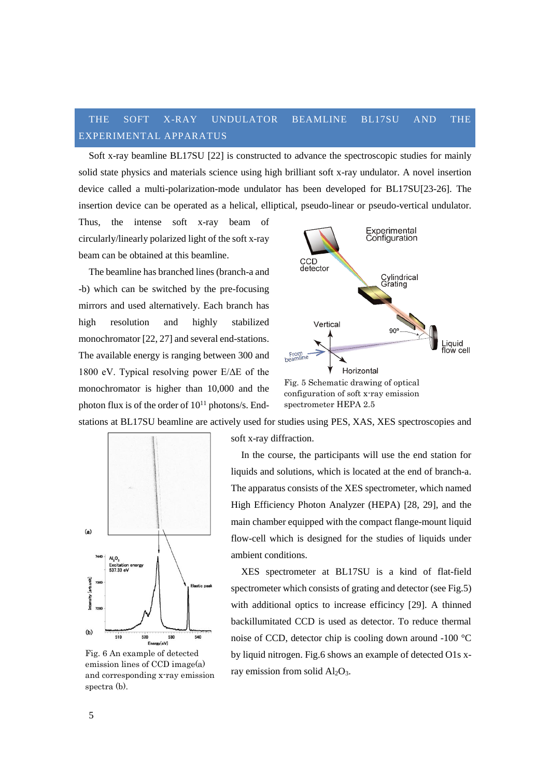# THE SOFT X-RAY UNDULATOR BEAMLINE BL17SU AND THE EXPERIMENTAL APPARATUS

Soft x-ray beamline BL17SU [22] is constructed to advance the spectroscopic studies for mainly solid state physics and materials science using high brilliant soft x-ray undulator. A novel insertion device called a multi-polarization-mode undulator has been developed for BL17SU[23-26]. The insertion device can be operated as a helical, elliptical, pseudo-linear or pseudo-vertical undulator.

Thus, the intense soft x-ray beam of circularly/linearly polarized light of the soft x-ray beam can be obtained at this beamline.

The beamline has branched lines (branch-a and -b) which can be switched by the pre-focusing mirrors and used alternatively. Each branch has high resolution and highly stabilized monochromator [22, 27] and several end-stations. The available energy is ranging between 300 and 1800 eV. Typical resolving power E/ΔE of the monochromator is higher than 10,000 and the photon flux is of the order of  $10^{11}$  photons/s. End-



stations at BL17SU beamline are actively used for studies using PES, XAS, XES spectroscopies and



Fig. 6 An example of detected emission lines of CCD image(a) and corresponding x-ray emission spectra (b).

soft x-ray diffraction.

In the course, the participants will use the end station for liquids and solutions, which is located at the end of branch-a. The apparatus consists of the XES spectrometer, which named High Efficiency Photon Analyzer (HEPA) [28, 29], and the main chamber equipped with the compact flange-mount liquid flow-cell which is designed for the studies of liquids under ambient conditions.

XES spectrometer at BL17SU is a kind of flat-field spectrometer which consists of grating and detector (see Fig.5) with additional optics to increase efficincy [29]. A thinned backillumitated CCD is used as detector. To reduce thermal noise of CCD, detector chip is cooling down around -100 °C by liquid nitrogen. Fig.6 shows an example of detected O1s xray emission from solid Al<sub>2</sub>O<sub>3</sub>.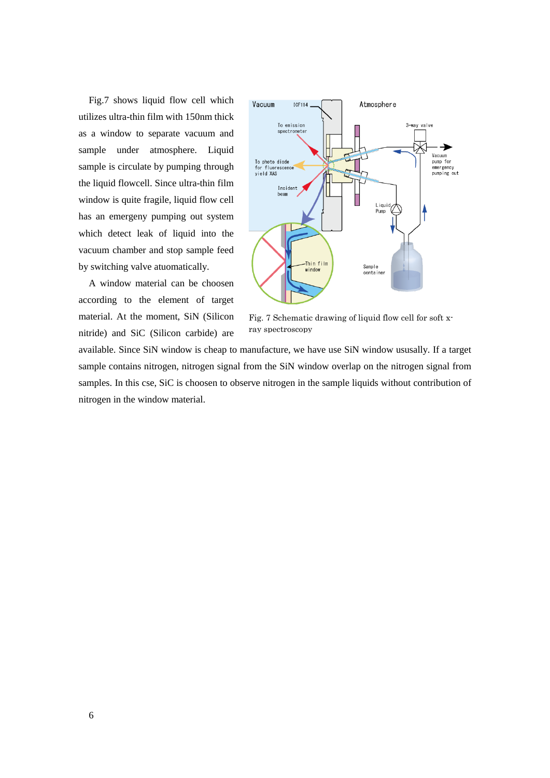Fig.7 shows liquid flow cell which utilizes ultra-thin film with 150nm thick as a window to separate vacuum and sample under atmosphere. Liquid sample is circulate by pumping through the liquid flowcell. Since ultra-thin film window is quite fragile, liquid flow cell has an emergeny pumping out system which detect leak of liquid into the vacuum chamber and stop sample feed by switching valve atuomatically.

A window material can be choosen according to the element of target material. At the moment, SiN (Silicon nitride) and SiC (Silicon carbide) are



Fig. 7 Schematic drawing of liquid flow cell for soft xray spectroscopy

available. Since SiN window is cheap to manufacture, we have use SiN window ususally. If a target sample contains nitrogen, nitrogen signal from the SiN window overlap on the nitrogen signal from samples. In this cse, SiC is choosen to observe nitrogen in the sample liquids without contribution of nitrogen in the window material.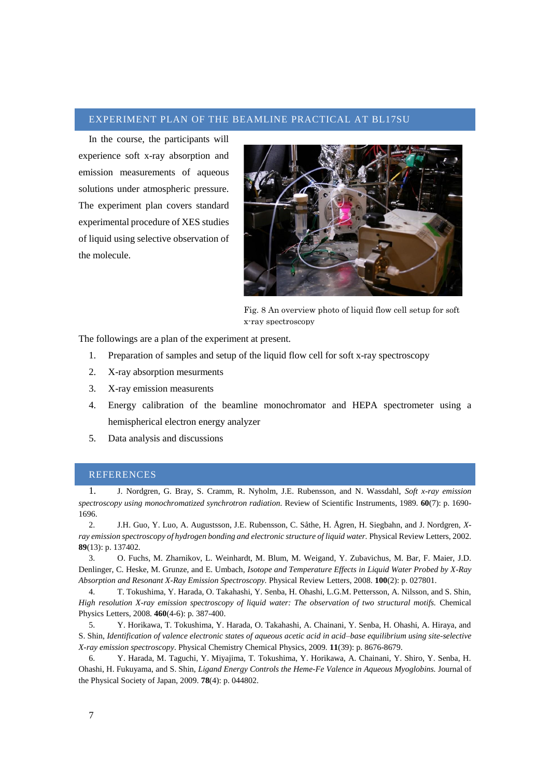## EXPERIMENT PLAN OF THE BEAMLINE PRACTICAL AT BL17SU

In the course, the participants will experience soft x-ray absorption and emission measurements of aqueous solutions under atmospheric pressure. The experiment plan covers standard experimental procedure of XES studies of liquid using selective observation of the molecule.



Fig. 8 An overview photo of liquid flow cell setup for soft x-ray spectroscopy

The followings are a plan of the experimen[t at present.](http://ejje.weblio.jp/content/at+present)

- 1. Preparation of samples and setup of the liquid flow cell for soft x-ray spectroscopy
- 2. X-ray absorption mesurments
- 3. X-ray emission measurents
- 4. Energy calibration of the beamline monochromator and HEPA spectrometer using a hemispherical electron energy analyzer
- 5. Data analysis and discussions

## REFERENCES

1. J. Nordgren, G. Bray, S. Cramm, R. Nyholm, J.E. Rubensson, and N. Wassdahl, *Soft x-ray emission spectroscopy using monochromatized synchrotron radiation.* Review of Scientific Instruments, 1989. **60**(7): p. 1690- 1696.

2. J.H. Guo, Y. Luo, A. Augustsson, J.E. Rubensson, C. Såthe, H. Ågren, H. Siegbahn, and J. Nordgren, *Xray emission spectroscopy of hydrogen bonding and electronic structure of liquid water.* Physical Review Letters, 2002. **89**(13): p. 137402.

3. O. Fuchs, M. Zharnikov, L. Weinhardt, M. Blum, M. Weigand, Y. Zubavichus, M. Bar, F. Maier, J.D. Denlinger, C. Heske, M. Grunze, and E. Umbach, *Isotope and Temperature Effects in Liquid Water Probed by X-Ray Absorption and Resonant X-Ray Emission Spectroscopy.* Physical Review Letters, 2008. **100**(2): p. 027801.

4. T. Tokushima, Y. Harada, O. Takahashi, Y. Senba, H. Ohashi, L.G.M. Pettersson, A. Nilsson, and S. Shin, *High resolution X-ray emission spectroscopy of liquid water: The observation of two structural motifs.* Chemical Physics Letters, 2008. **460**(4-6): p. 387-400.

5. Y. Horikawa, T. Tokushima, Y. Harada, O. Takahashi, A. Chainani, Y. Senba, H. Ohashi, A. Hiraya, and S. Shin, *Identification of valence electronic states of aqueous acetic acid in acid–base equilibrium using site-selective X-ray emission spectroscopy*. Physical Chemistry Chemical Physics, 2009. **11**(39): p. 8676-8679.

6. Y. Harada, M. Taguchi, Y. Miyajima, T. Tokushima, Y. Horikawa, A. Chainani, Y. Shiro, Y. Senba, H. Ohashi, H. Fukuyama, and S. Shin, *Ligand Energy Controls the Heme-Fe Valence in Aqueous Myoglobins.* Journal of the Physical Society of Japan, 2009. **78**(4): p. 044802.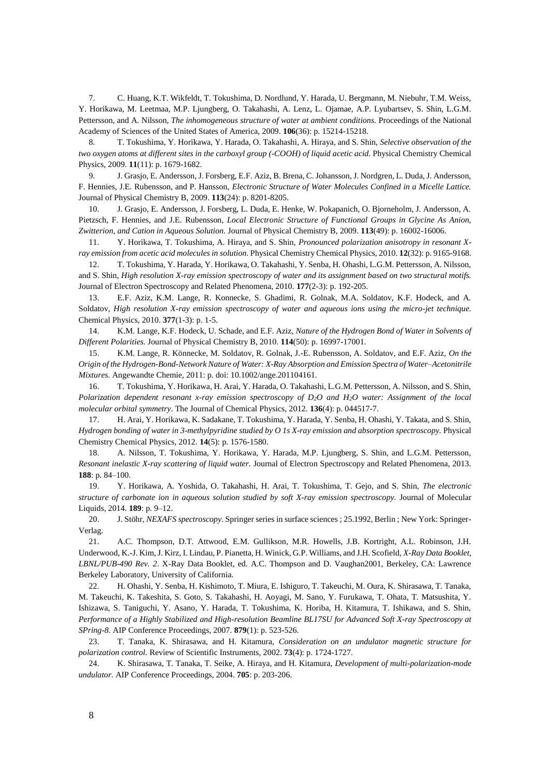7. C. Huang, K.T. Wikfeldt, T. Tokushima, D. Nordlund, Y. Harada, U. Bergmann, M. Niebuhr, T.M. Weiss, Y. Horikawa, M. Leetmaa, M.P. Ljungberg, O. Takahashi, A. Lenz, L. Ojamae, A.P. Lyubartsev, S. Shin, L.G.M. Pettersson, and A. Nilsson, *The inhomogeneous structure of water at ambient conditions.* Proceedings of the National Academy of Sciences of the United States of America, 2009. **106**(36): p. 15214-15218.

8. T. Tokushima, Y. Horikawa, Y. Harada, O. Takahashi, A. Hiraya, and S. Shin, *Selective observation of the two oxygen atoms at different sites in the carboxyl group (-COOH) of liquid acetic acid.* Physical Chemistry Chemical Physics, 2009. **11**(11): p. 1679-1682.

9. J. Grasjo, E. Andersson, J. Forsberg, E.F. Aziz, B. Brena, C. Johansson, J. Nordgren, L. Duda, J. Andersson, F. Hennies, J.E. Rubensson, and P. Hansson, *Electronic Structure of Water Molecules Confined in a Micelle Lattice.* Journal of Physical Chemistry B, 2009. **113**(24): p. 8201-8205.

10. J. Grasjo, E. Andersson, J. Forsberg, L. Duda, E. Henke, W. Pokapanich, O. Bjorneholm, J. Andersson, A. Pietzsch, F. Hennies, and J.E. Rubensson, *Local Electronic Structure of Functional Groups in Glycine As Anion, Zwitterion, and Cation in Aqueous Solution.* Journal of Physical Chemistry B, 2009. **113**(49): p. 16002-16006.

11. Y. Horikawa, T. Tokushima, A. Hiraya, and S. Shin, *Pronounced polarization anisotropy in resonant Xray emission from acetic acid molecules in solution.* Physical Chemistry Chemical Physics, 2010. **12**(32): p. 9165-9168.

12. T. Tokushima, Y. Harada, Y. Horikawa, O. Takahashi, Y. Senba, H. Ohashi, L.G.M. Pettersson, A. Nilsson, and S. Shin, *High resolution X-ray emission spectroscopy of water and its assignment based on two structural motifs.* Journal of Electron Spectroscopy and Related Phenomena, 2010. **177**(2-3): p. 192-205.

13. E.F. Aziz, K.M. Lange, R. Konnecke, S. Ghadimi, R. Golnak, M.A. Soldatov, K.F. Hodeck, and A. Soldatov, *High resolution X-ray emission spectroscopy of water and aqueous ions using the micro-jet technique.* Chemical Physics, 2010. **377**(1-3): p. 1-5.

14. K.M. Lange, K.F. Hodeck, U. Schade, and E.F. Aziz, *Nature of the Hydrogen Bond of Water in Solvents of Different Polarities.* Journal of Physical Chemistry B, 2010. **114**(50): p. 16997-17001.

15. K.M. Lange, R. Könnecke, M. Soldatov, R. Golnak, J.-E. Rubensson, A. Soldatov, and E.F. Aziz, *On the Origin of the Hydrogen-Bond-Network Nature of Water: X-Ray Absorption and Emission Spectra of Water–Acetonitrile Mixtures*. Angewandte Chemie, 2011: p. doi: 10.1002/ange.201104161.

16. T. Tokushima, Y. Horikawa, H. Arai, Y. Harada, O. Takahashi, L.G.M. Pettersson, A. Nilsson, and S. Shin, *Polarization dependent resonant x-ray emission spectroscopy of D2O and H2O water: Assignment of the local molecular orbital symmetry*. The Journal of Chemical Physics, 2012. **136**(4): p. 044517-7.

17. H. Arai, Y. Horikawa, K. Sadakane, T. Tokushima, Y. Harada, Y. Senba, H. Ohashi, Y. Takata, and S. Shin, *Hydrogen bonding of water in 3-methylpyridine studied by O 1s X-ray emission and absorption spectroscopy.* Physical Chemistry Chemical Physics, 2012. **14**(5): p. 1576-1580.

18. A. Nilsson, T. Tokushima, Y. Horikawa, Y. Harada, M.P. Ljungberg, S. Shin, and L.G.M. Pettersson, *Resonant inelastic X-ray scattering of liquid water.* Journal of Electron Spectroscopy and Related Phenomena, 2013. **188**: p. 84–100.

19. Y. Horikawa, A. Yoshida, O. Takahashi, H. Arai, T. Tokushima, T. Gejo, and S. Shin, *The electronic structure of carbonate ion in aqueous solution studied by soft X-ray emission spectroscopy.* Journal of Molecular Liquids, 2014. **189**: p. 9–12.

20. J. Stöhr, *NEXAFS spectroscopy*. Springer series in surface sciences ; 25.1992, Berlin ; New York: Springer-Verlag.

21. A.C. Thompson, D.T. Attwood, E.M. Gullikson, M.R. Howells, J.B. Kortright, A.L. Robinson, J.H. Underwood, K.-J. Kim, J. Kirz, I. Lindau, P. Pianetta, H. Winick, G.P. Williams, and J.H. Scofield, *X-Ray Data Booklet, LBNL/PUB-490 Rev. 2*. X-Ray Data Booklet, ed. A.C. Thompson and D. Vaughan2001, Berkeley, CA: Lawrence Berkeley Laboratory, University of California.

22. H. Ohashi, Y. Senba, H. Kishimoto, T. Miura, E. Ishiguro, T. Takeuchi, M. Oura, K. Shirasawa, T. Tanaka, M. Takeuchi, K. Takeshita, S. Goto, S. Takahashi, H. Aoyagi, M. Sano, Y. Furukawa, T. Ohata, T. Matsushita, Y. Ishizawa, S. Taniguchi, Y. Asano, Y. Harada, T. Tokushima, K. Horiba, H. Kitamura, T. Ishikawa, and S. Shin, *Performance of a Highly Stabilized and High-resolution Beamline BL17SU for Advanced Soft X-ray Spectroscopy at SPring-8.* AIP Conference Proceedings, 2007. **879**(1): p. 523-526.

23. T. Tanaka, K. Shirasawa, and H. Kitamura, *Consideration on an undulator magnetic structure for polarization control.* Review of Scientific Instruments, 2002. **73**(4): p. 1724-1727.

24. K. Shirasawa, T. Tanaka, T. Seike, A. Hiraya, and H. Kitamura, *Development of multi-polarization-mode undulator.* AIP Conference Proceedings, 2004. **705**: p. 203-206.